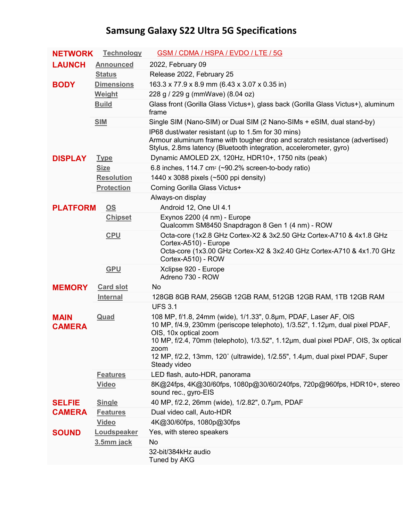## **Samsung Galaxy S22 Ultra 5G Specifications**

| <b>NETWORK</b>                 | <b>Technology</b>         | GSM / CDMA / HSPA / EVDO / LTE / 5G                                                                                                                                                                                                                           |
|--------------------------------|---------------------------|---------------------------------------------------------------------------------------------------------------------------------------------------------------------------------------------------------------------------------------------------------------|
| <b>LAUNCH</b>                  | <b>Announced</b>          | 2022, February 09                                                                                                                                                                                                                                             |
|                                | <b>Status</b>             | Release 2022, February 25                                                                                                                                                                                                                                     |
| <b>BODY</b>                    | <b>Dimensions</b>         | 163.3 x 77.9 x 8.9 mm (6.43 x 3.07 x 0.35 in)                                                                                                                                                                                                                 |
|                                | Weight                    | 228 g / 229 g (mmWave) (8.04 oz)                                                                                                                                                                                                                              |
|                                | <b>Build</b>              | Glass front (Gorilla Glass Victus+), glass back (Gorilla Glass Victus+), aluminum<br>frame                                                                                                                                                                    |
|                                | <b>SIM</b>                | Single SIM (Nano-SIM) or Dual SIM (2 Nano-SIMs + eSIM, dual stand-by)                                                                                                                                                                                         |
|                                |                           | IP68 dust/water resistant (up to 1.5m for 30 mins)<br>Armour aluminum frame with tougher drop and scratch resistance (advertised)<br>Stylus, 2.8ms latency (Bluetooth integration, accelerometer, gyro)                                                       |
| <b>DISPLAY</b>                 | <b>Type</b>               | Dynamic AMOLED 2X, 120Hz, HDR10+, 1750 nits (peak)                                                                                                                                                                                                            |
|                                | <b>Size</b>               | 6.8 inches, 114.7 cm <sup>2</sup> ( $\sim$ 90.2% screen-to-body ratio)                                                                                                                                                                                        |
|                                | <b>Resolution</b>         | 1440 x 3088 pixels (~500 ppi density)                                                                                                                                                                                                                         |
|                                | <b>Protection</b>         | Corning Gorilla Glass Victus+                                                                                                                                                                                                                                 |
|                                |                           | Always-on display                                                                                                                                                                                                                                             |
| <b>PLATFORM</b>                | $\underline{\mathsf{OS}}$ | Android 12, One UI 4.1                                                                                                                                                                                                                                        |
|                                | <b>Chipset</b>            | Exynos 2200 (4 nm) - Europe<br>Qualcomm SM8450 Snapdragon 8 Gen 1 (4 nm) - ROW                                                                                                                                                                                |
|                                | <b>CPU</b>                | Octa-core (1x2.8 GHz Cortex-X2 & 3x2.50 GHz Cortex-A710 & 4x1.8 GHz<br>Cortex-A510) - Europe<br>Octa-core (1x3.00 GHz Cortex-X2 & 3x2.40 GHz Cortex-A710 & 4x1.70 GHz<br>Cortex-A510) - ROW                                                                   |
|                                | <b>GPU</b>                | Xclipse 920 - Europe<br>Adreno 730 - ROW                                                                                                                                                                                                                      |
| <b>MEMORY</b>                  | <b>Card slot</b>          | No                                                                                                                                                                                                                                                            |
|                                | Internal                  | 128GB 8GB RAM, 256GB 12GB RAM, 512GB 12GB RAM, 1TB 12GB RAM                                                                                                                                                                                                   |
|                                |                           | <b>UFS 3.1</b>                                                                                                                                                                                                                                                |
| <b>MAIN</b><br><b>CAMERA</b>   | Quad                      | 108 MP, f/1.8, 24mm (wide), 1/1.33", 0.8µm, PDAF, Laser AF, OIS<br>10 MP, f/4.9, 230mm (periscope telephoto), 1/3.52", 1.12µm, dual pixel PDAF,<br>OIS, 10x optical zoom<br>10 MP, f/2.4, 70mm (telephoto), 1/3.52", 1.12µm, dual pixel PDAF, OIS, 3x optical |
|                                |                           | zoom                                                                                                                                                                                                                                                          |
|                                |                           | 12 MP, f/2.2, 13mm, 120° (ultrawide), 1/2.55", 1.4µm, dual pixel PDAF, Super<br>Steady video                                                                                                                                                                  |
|                                | <b>Features</b>           | LED flash, auto-HDR, panorama                                                                                                                                                                                                                                 |
|                                | <b>Video</b>              | 8K@24fps, 4K@30/60fps, 1080p@30/60/240fps, 720p@960fps, HDR10+, stereo<br>sound rec., gyro-EIS                                                                                                                                                                |
| <b>SELFIE</b><br><b>CAMERA</b> | <b>Single</b>             | 40 MP, f/2.2, 26mm (wide), 1/2.82", 0.7µm, PDAF                                                                                                                                                                                                               |
|                                | <b>Features</b>           | Dual video call, Auto-HDR                                                                                                                                                                                                                                     |
|                                | <b>Video</b>              | 4K@30/60fps, 1080p@30fps                                                                                                                                                                                                                                      |
| <b>SOUND</b>                   | Loudspeaker               | Yes, with stereo speakers                                                                                                                                                                                                                                     |
|                                | 3.5mm jack                | No                                                                                                                                                                                                                                                            |
|                                |                           | 32-bit/384kHz audio<br>Tuned by AKG                                                                                                                                                                                                                           |